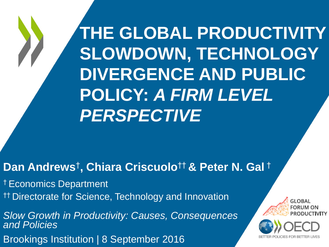**THE GLOBAL PRODUCTIVITY SLOWDOWN, TECHNOLOGY DIVERGENCE AND PUBLIC POLICY:** *A FIRM LEVEL PERSPECTIVE*

### **Dan Andrews**† **, Chiara Criscuolo**†† **& Peter N. Gal** †

† Economics Department †† Directorate for Science, Technology and Innovation

*Slow Growth in Productivity: Causes, Consequences and Policies* Brookings Institution | 8 September 2016

**GLOBAL**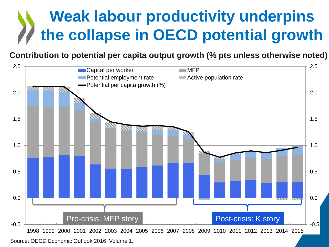## **Weak labour productivity underpins the collapse in OECD potential growth**

### **Contribution to potential per capita output growth (% pts unless otherwise noted)**

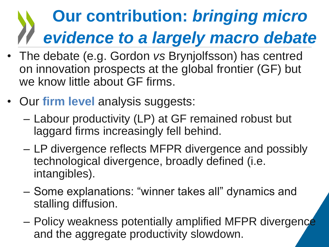# **Our contribution:** *bringing micro evidence to a largely macro debate*

- The debate (e.g. Gordon *vs* Brynjolfsson) has centred on innovation prospects at the global frontier (GF) but we know little about GF firms.
- Our **firm level** analysis suggests:
	- Labour productivity (LP) at GF remained robust but laggard firms increasingly fell behind.
	- LP divergence reflects MFPR divergence and possibly technological divergence, broadly defined (i.e. intangibles).
	- Some explanations: "winner takes all" dynamics and stalling diffusion.
	- Policy weakness potentially amplified MFPR divergence and the aggregate productivity slowdown.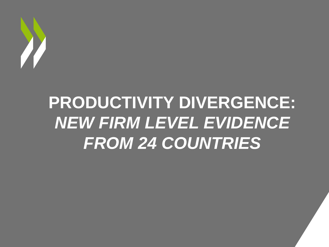

# **PRODUCTIVITY DIVERGENCE:**  *NEW FIRM LEVEL EVIDENCE FROM 24 COUNTRIES*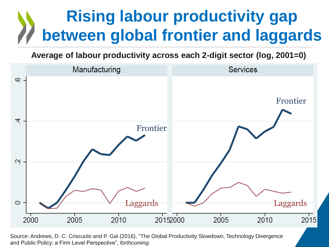## **Rising labour productivity gap between global frontier and laggards**

**Average of labour productivity across each 2-digit sector (log, 2001=0)**

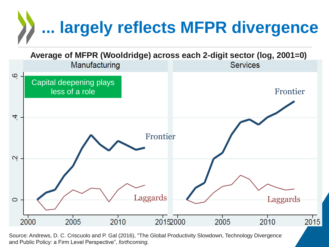

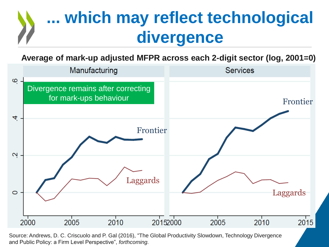# **... which may reflect technological divergence**

**Average of mark-up adjusted MFPR across each 2-digit sector (log, 2001=0)**

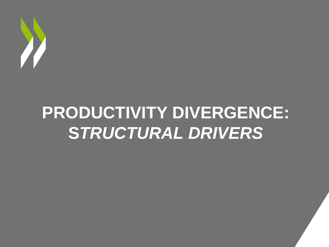

# **PRODUCTIVITY DIVERGENCE: S***TRUCTURAL DRIVERS*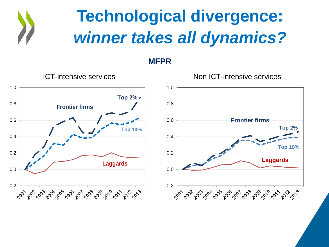

**MFPR**



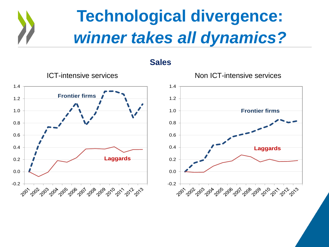

**Sales**

ICT-intensive services Non ICT-intensive services 0.2 0.4 0.6 0.8 1.0 1.2 1.4 **Frontier firms Laggards** 0.2 0.4 0.6 0.8 1.0 1.2 1.4 **Frontier firms Laggards**

-0.2

చిల్ల చిబ్బార్కోర్కు సిం<sup>చర</sup>ీర్కోర్కు సించ్ స్కోర్కు

0.0

-0.2

0.0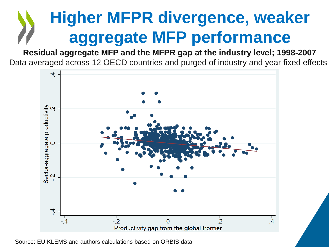# **Higher MFPR divergence, weaker aggregate MFP performance**

**Residual aggregate MFP and the MFPR gap at the industry level; 1998-2007** Data averaged across 12 OECD countries and purged of industry and year fixed effects



Source: EU KLEMS and authors calculations based on ORBIS data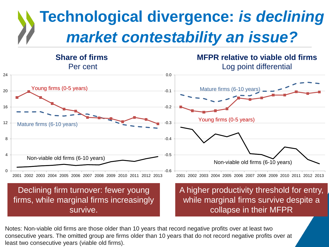## **Technological divergence:** *is declining market contestability an issue?*



Notes: Non-viable old firms are those older than 10 years that record negative profits over at least two consecutive years. The omitted group are firms older than 10 years that do not record negative profits over at least two consecutive years (viable old firms).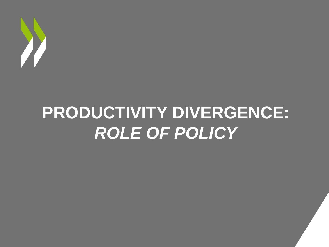

# **PRODUCTIVITY DIVERGENCE:**  *ROLE OF POLICY*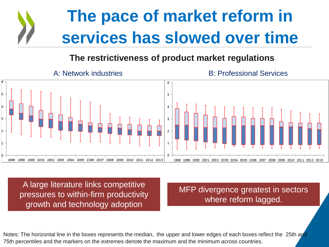# **The pace of market reform in services has slowed over time**

### **The restrictiveness of product market regulations**



A large literature links competitive pressures to within-firm productivity growth and technology adoption

MFP divergence greatest in sectors where reform lagged.

Notes: The horizontal line in the boxes represents the median, the upper and lower edges of each boxes reflect the 25th and 75th percentiles and the markers on the extremes denote the maximum and the minimum across countries.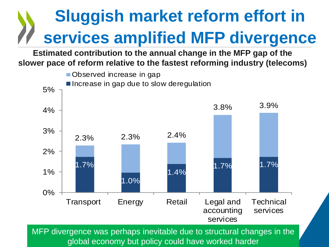# **Sluggish market reform effort in services amplified MFP divergence**

**Estimated contribution to the annual change in the MFP gap of the slower pace of reform relative to the fastest reforming industry (telecoms)** 



MFP divergence was perhaps inevitable due to structural changes in the global economy but policy could have worked harder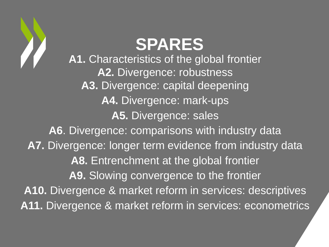

# **SPARES**

**A1.** Characteristics of the global frontier **A2.** Divergence: robustness **A3.** Divergence: capital deepening **A4.** Divergence: mark-ups **A5.** Divergence: sales **A6**. Divergence: comparisons with industry data **A7.** Divergence: longer term evidence from industry data **A8.** Entrenchment at the global frontier **A9.** Slowing convergence to the frontier **A10.** Divergence & market reform in services: descriptives **A11.** Divergence & market reform in services: econometrics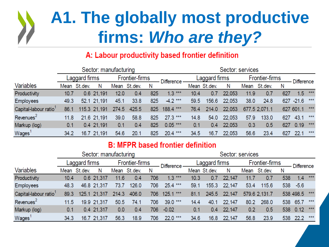## **A1. The globally most productive firms:** *Who are they?*

### A: Labour productivity based frontier definition

|                       | Sector: manufacturing |              |                |       |              |                   |               |      | Sector: services |        |      |                   |     |            |     |
|-----------------------|-----------------------|--------------|----------------|-------|--------------|-------------------|---------------|------|------------------|--------|------|-------------------|-----|------------|-----|
|                       | Laggard firms         |              | Frontier-firms |       |              | <b>Difference</b> | Laggard firms |      | Frontier-firms   |        |      | <b>Difference</b> |     |            |     |
| Variables             |                       | Mean St.dev. | N              |       | Mean St.dev. | N                 |               |      | Mean St.dev.     | Ν      |      | Mean St.dev.      | N   |            |     |
| Productivity          | 10.7                  |              | 0.6 21,191     | 12.0  | 0.4          | 825               | $1.3***$      | 10.4 | 0.7              | 22,053 | 11.9 | 0.7               | 627 | 1.5        | *** |
| <b>Employees</b>      | 49.3                  |              | 52.1 21.191    | 45.1  | 33.8         | 825               | $-4.2***$     | 59.5 | 156.6            | 22,053 | 38.0 | 24.8              |     | 627 - 21.6 | *** |
| Capital-labour ratio  | 86.1                  |              | 115.3 21.191   | 274.5 | 425.5        | 825               | 188.4 ***     | 76.4 | 214.0            | 22,053 |      | 677.5 2.071.1     |     | 627 601.1  | *** |
| Revenues <sup>2</sup> | 11.8                  |              | 21.6 21,191    | 39.0  | 58.8         | 825               | $27.3***$     | 14.8 | 54.0             | 22,053 | 57.9 | 133.0             | 627 | 43.1       | *** |
| Markup (log)          | 0.1                   |              | 0.4 21,191     | 0.1   | 0.4          | 825               | $0.05***$     | 0.1  | 0.4              | 22,053 | 0.3  | 0.5               | 627 | 0.19       | *** |
| Wages <sup>1</sup>    | 34.2                  |              | 16.7 21,191    | 54.6  | 20.1         | 825               | $20.4***$     | 34.5 | 16.7             | 22,053 | 56.6 | 23.4              | 627 | 22.1       | *** |

### **B: MFPR based frontier definition**

|                                   |               |              | Sector: manufacturing |                |              |     |                   | Sector: services |              |        |                |               |     |                   |     |
|-----------------------------------|---------------|--------------|-----------------------|----------------|--------------|-----|-------------------|------------------|--------------|--------|----------------|---------------|-----|-------------------|-----|
|                                   | Laggard firms |              |                       | Frontier-firms |              |     | <b>Difference</b> | Laggard firms    |              |        | Frontier-firms |               |     | <b>Difference</b> |     |
| <b>Variables</b>                  |               | Mean St.dev. | N                     |                | Mean St.dev. | N   |                   |                  | Mean St.dev. | N      | Mean           | St.dev.       | N   |                   |     |
| Productivity                      | 10.4          |              | 0.6 21,317            | 11.6           | 0.4          | 706 | $1.3***$          | 10.3             | 0.7          | 22,147 | 11.7           | 0.7           | 538 | 1.4               | *** |
| <b>Employees</b>                  | 48.3          |              | 46.8 21,317           | 73.7           | 126.0        | 706 | 25.4 ***          | 59.1             | 155.3        | 22,147 | 53.4           | 115.6         |     | 538 -5.6          |     |
| Capital-labour ratio <sup>1</sup> | 89.3          |              | 125.1 21.317          | 214.3          | 406.0        | 706 | $125.1***$        | 81.1             | 245.5        | 22,147 |                | 579.6 2,131.7 |     | 538 498.5         | *** |
| Revenues <sup>2</sup>             | 11.5          |              | 19.9 21,317           | 50.5           | 74.1         | 706 | 39.0 ***          | 14.4             | 40.1         | 22,147 | 80.2           | 268.0         | 538 | 65.7              | *** |
| Markup (log)                      | 0.1           |              | 0.4 21,317            | 0.0            | 0.4          | 706 | $-0.02$           | 0.1              | 0.4          | 22,147 | 0.2            | 0.5           |     | 538 0.12          | *** |
| Wages <sup>1</sup>                | 34.3          |              | 16.7 21,317           | 56.3           | 18.9         | 706 | $22.0***$         | 34.6             | 16.8         | 22,147 | 56.8           | 23.9          | 538 | 22.2              | *** |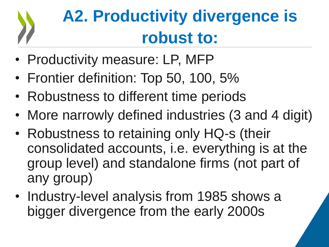# **A2. Productivity divergence is robust to:**

- Productivity measure: LP, MFP
- Frontier definition: Top 50, 100, 5%
- Robustness to different time periods
- More narrowly defined industries (3 and 4 digit)
- Robustness to retaining only HQ-s (their consolidated accounts, i.e. everything is at the group level) and standalone firms (not part of any group)
- Industry-level analysis from 1985 shows a bigger divergence from the early 2000s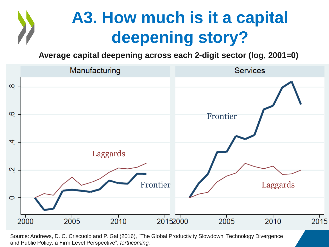## **A3. How much is it a capital deepening story?**

**Average capital deepening across each 2-digit sector (log, 2001=0)**

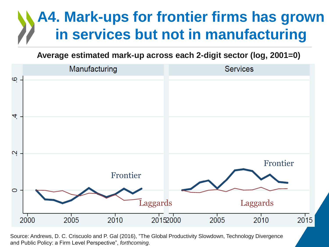### **A4. Mark-ups for frontier firms has grown in services but not in manufacturing**

**Average estimated mark-up across each 2-digit sector (log, 2001=0)**

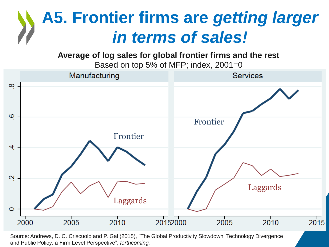## **A5. Frontier firms are** *getting larger in terms of sales!*

**Average of log sales for global frontier firms and the rest**

Based on top 5% of MFP; index, 2001=0

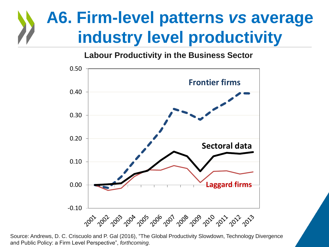## **A6. Firm-level patterns** *vs* **average industry level productivity**

### **Labour Productivity in the Business Sector**



Source: Andrews, D. C. Criscuolo and P. Gal (2016), "The Global Productivity Slowdown, Technology Divergence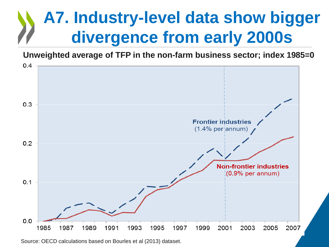## **A7. Industry-level data show bigger divergence from early 2000s**

**Unweighted average of TFP in the non-farm business sector; index 1985=0**



Source: OECD calculations based on Bourles et al (2013) dataset.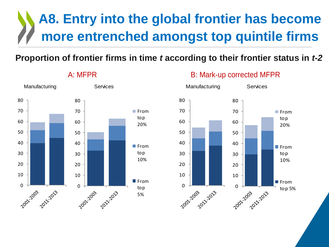### **A8. Entry into the global frontier has become more entrenched amongst top quintile firms**

### **Proportion of frontier firms in time** *t* **according to their frontier status in** *t-2*



### A: MFPR B: Mark-up corrected MFPR

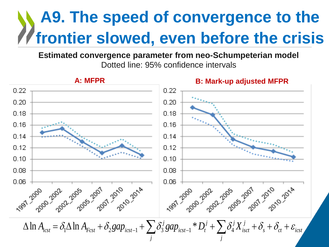## **A9. The speed of convergence to the frontier slowed, even before the crisis**

**Estimated convergence parameter from neo-Schumpeterian model** Dotted line: 95% confidence intervals

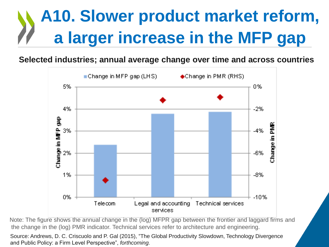# **A10. Slower product market reform, a larger increase in the MFP gap**

**Selected industries; annual average change over time and across countries**



Note: The figure shows the annual change in the (log) MFPR gap between the frontier and laggard firms and the change in the (log) PMR indicator. Technical services refer to architecture and engineering.